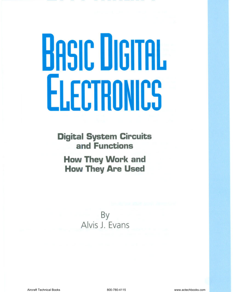# **BASIC DIGITAL ELECTRONICS**

**Digital System Circuits and Functions**

**How They Work and How They Are Used**

> By Alvis J. Evans

Aircraft Technical Books 800-780-4115 www.actechbooks.com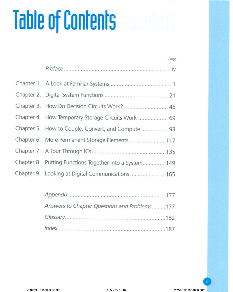# **Table of Contents**

| Page                                                   |
|--------------------------------------------------------|
|                                                        |
|                                                        |
|                                                        |
| Chapter 3. How Do Decision Circuits Work?  45          |
| Chapter 4. How Temporary Storage Circuits Work  69     |
| Chapter 5. How to Couple, Convert, and Compute  93     |
| Chapter 6. More Permanent Storage Elements117          |
|                                                        |
| Chapter 8. Putting Functions Together Into a System149 |
| Chapter 9. Looking at Digital Communications 165       |

| Answers to Chapter Questions and Problems177 |  |
|----------------------------------------------|--|
|                                              |  |
|                                              |  |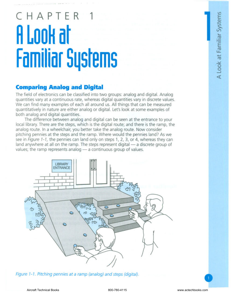## **CHAPTER 1 R Look at Familiar Systems**

### **Comparing Analog and Digital**

The field of electronics can be classified into two groups: analog and digital. Analog quantities vary at a continuous rate, whereas digital quantities vary in discrete values. We can find many examples of each all around us. All things that can be measured quantitatively in nature are either analog or digital. Let's look at some examples of both analog and digital quantities.

The difference between analog and digital can be seen at the entrance to your local library. There are the steps, which is the digital route; and there is the ramp, the analog route. In a wheelchair, you better take the analog route. Now consider pitching pennies at the steps and the ramp. Where would the pennies land? As we see in *Figure* 1-1, the pennies can land only on steps 1, 2, 3, or 4, whereas they can land anywhere at all on the ramp. The steps represent digital - a discrete group of values; the ramp represents analog  $-$  a continuous group of values.



*Figure* 1-1. *Pitching pennies at* a *ramp (analog) and steps (digital) .*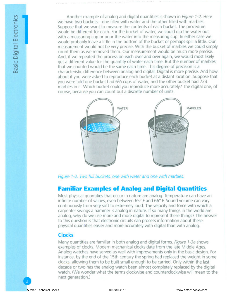Another example of analog and digital quantities is shown in *Figure* 7-2. Here we have two buckets-one filled with water and the other filled with marbles. Suppose that we want to measure the contents of each bucket. The procedure would be different for each. For the bucket of water, we could dip the water out with a measuring cup or pour the water into the measuring cup. In either case we would probably leave a little in the bottom of the bucket or perhaps spill a little. Our measurement would not be very precise. With the bucket of marbles we could simply count them as we removed them. Our measurement would be much more precise. And, if we repeated the process on each over and over again, we would most likely get a different value for the quantity of water each time. But the number of marbles that we counted would be the same each time. This degree of precision is a characteristic difference between analog and digital. Digital is more precise. And how about if you were asked to reproduce each bucket at a distant location. Suppose that you were told one bucket had 62/3 cups of water, and the other bucket had 723 marbles in it. Which bucket could you reproduce more accurately? The digital one, of course, because you can count out a discrete number of units.



*Figure* 7-2. *Two full buckets, one with water and one with marbles.*

#### **Familiar Examples of Analog and Digital Quantities**

Most physical quantities that occur in nature are analog. Temperature can have an infinite number of values, even between 65° F and 66° F. Sound volume can vary continuously from very soft to extremely loud. The velocity and force with which a carpenter swings a hammer is analog in nature. If so many things in the world are analog, why do we use more and more digital to represent these things? The answer to this question is that electronic circuits can process information about these physical quantities easier and more accurately with digital than with analog.

#### **Clocks**

Many quantities are familiar in both analog and digital forms. *Figure 7-3a* shows examples of clocks. Modern mechanical clocks date from the late Middle Ages. Analog watches have served us well with improvements only in the basic design. For instance, by the end of the 15th century the spring had replaced the weight in some clocks, allowing them to be built small enough to be carried. Only within the last decade or two has the analog watch been almost completely replaced by the digital watch. (We wonder what the terms clockwise and counterclockwise will mean to the next generation.)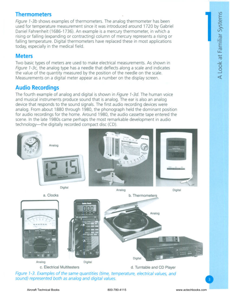# V') E Syste

### **Thermometers**

*Figure 1-3b* shows examples of thermometers. The analog thermometer has been used for temperature measurement since it was introduced around 1720 by Gabriel Daniel Fahrenheit (1686-1736). An example is a mercury thermometer, in which a rising or falling (expanding or contracting) column of mercury represents a rising or falling temperature. Digital thermometers have replaced these in most applications today, especially in the medical field.

#### **Meters**

Two basic types of meters are used to make electrical measurements. As shown in *Figure 1-3c,* the analog type has a needle that deflects along a scale and indicates the value of the quantity measured by the position of the needle on the scale. Measurements on a digital meter appear as a number on the display screen.

### **Audio Recordings**

The fourth example of analog and digital is shown in *Figure 1-3d.* The human voice and musical instruments produce sound that is analog. The ear is also an analog device that responds to the sound signals. The first audio recording devices were analog. From about 1880 through 1980, the phonograph held the dominant position for audio recordings for the home. Around 1980, the audio cassette tape entered the scene. In the late 1980s came perhaps the most remarkable development in audio technology-the digitally recorded compact disc (CD).